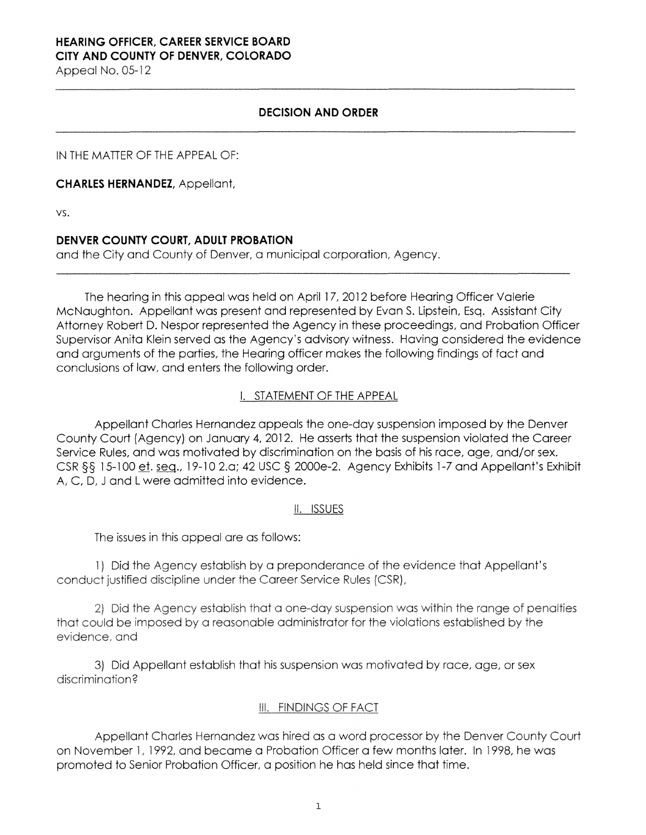# **HEARING OFFICER, CAREER SERVICE BOARD CITY AND COUNTY OF DENVER, COLORADO**

Appeal No. 05-12

#### **DECISION AND ORDER**

IN THE MATTER OF THE APPEAL OF:

**CHARLES HERNANDEZ,** Appellant,

vs.

### **DENVER COUNTY COURT, ADULT PROBATION**

and the City and County of Denver, a municipal corporation, Agency.

The hearing in this appeal was held on April 17, 2012 before Hearing Officer Valerie McNaughton. Appellant was present and represented by Evan S. Lipstein, Esq. Assistant City Attorney Robert D. Nespor represented the Agency in these proceedings, and Probation Officer Supervisor Anita Klein served as the Agency's advisory witness. Having considered the evidence and arguments of the parties, the Hearing officer makes the following findings of fact and conclusions of law, and enters the following order.

## I. STATEMENT OF THE APPEAL

Appellant Charles Hernandez appeals the one-day suspension imposed by the Denver County Court (Agency) on January 4, 2012. He asserts that the suspension violated the Career Service Rules, and was motivated by discrimination on the basis of his race, age, and/or sex. CSR §§ 15-100 et. seg., 19-10 2.a; 42 USC § 2000e-2. Agency Exhibits 1-7 and Appellant's Exhibit A, C, D, J and L were admitted into evidence.

### II. ISSUES

The issues in this appeal are as follows:

1) Did the Agency establish **by** a preponderance of the evidence that Appellant's conduct justified discipline under the Career Service Rules (CSR),

2) Did the Agency establish that a one-day suspension was within the range of penalties that could be imposed by a reasonable administrator for the violations established by the evidence, and

3) Did Appellant establish that his suspension was motivated by race, age, or sex discrimination?

### Ill. FINDINGS OF FACT

Appellant Charles Hernandez was hired as a word processor by the Denver County Court on November l, 1992, and became a Probation Officer a few months later. In 1998, he was promoted to Senior Probation Officer, a position he has held since that time.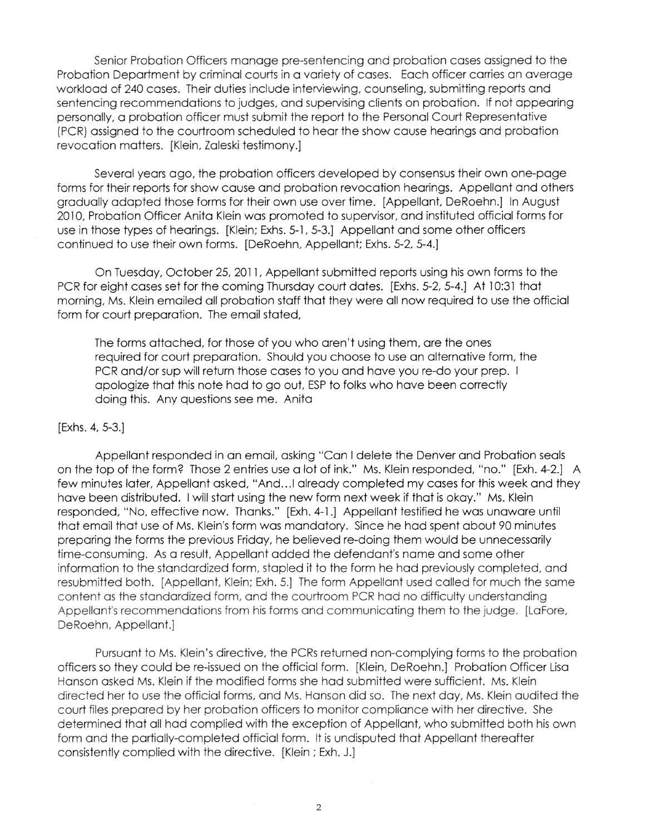**Senior Probation Officers manage pre-sentencing and** probation cases **assigned** to the **Probation Department by criminal courts** in a **variety of** cases. **Each officer** carries an **average workload of** 240 cases. **Their duties include interviewing, counseling,** submitting **reports** and **sentencing recommendations to judges, and supervising clients** on probation. If **not** appearing **personally,** a probation **officer must submit the report to** the **Personal** Court **Representative**  {PCR) **assigned to the courtroom** scheduled to **hear the** show cause hearings and probation revocation matters. **[Klein, Zaleski** testimony.]

Several years ago, the probation officers developed by consensus their own one-page forms **for** their reports for show cause and probation revocation hearings. Appellant and others gradually adapted those forms for their own use over time. [Appellant, DeRoehn.] In August 2010, Probation Officer Anita Klein was promoted to supervisor, and instituted official forms for use in those types of hearings. [Klein; Exhs. 5-1, 5-3.] Appellant and some other officers continued to use their own forms. [DeRoehn, Appellant; Exhs. 5-2, 5-4.]

On Tuesday, October 25, 2011, Appellant submitted reports using his own forms to the PCR for eight cases set for the coming Thursday court dates. [Exhs. 5-2, 5-4.] At 10:31 that morning, Ms. Klein emailed all probation staff that they were all now required to use the official form for court preparation. The email stated,

The forms attached, for those of you who aren't using them, are the ones required for court preparation. Should you choose to use an alternative form, the PCR and/or sup will return those cases to you and have you re-do your prep. I apologize that this note had to go out, ESP to folks who have been correctly doing this. Any questions see me. Anita

#### [Exhs. 4, 5-3.J

Appellant responded in an email, asking "Can I delete the Denver and Probation seals on the top of the form? Those 2 entries use a lot of ink." Ms. Klein responded, "no." [Exh. 4-2.J A few minutes later, Appellant asked, "And... I already completed my cases for this week and they have been distributed. I will start using the new form next week if that is okay." Ms. Klein responded, "No, effective now. Thanks." [Exh. 4-1.] Appellant testified he was unaware until that email that use of Ms. Klein's form was mandatory. Since he had spent about 90 minutes preparing the forms the previous Friday, he believed re-doing them would be unnecessarily time-consuming. As a result, Appellant added the defendant's name and some other information to the **standardized** form, stapled it to the form he had previously completed, and **resubmitted both. [Appellant, Klein; Exh. 5.] The form Appellant used called for much the** same **content as the standardized form, and the courtroom PCR had no difficulty understanding Appellant's recommendations from his forms and communicating them to the judge. [Lafore, DeRoehn, Appellant.]** 

Pursuant to Ms. **Klein's directive, the PCRs returned** non-complying forms to the probation officers so they could be re-issued on **the** official form. [Klein, DeRoehn.] Probation Officer Lisa **Hanson asked Ms. Klein if the modified forms she had submitted** were **sufficient.** Ms. **Klein directed her to** use the **official forms, and Ms. Hanson did** so. **The next day, Ms. Klein audited the court files prepared by her probation officers to monitor compliance with her directive. She determined that all had complied with the exception of Appellant,** who submitted both his own **form** and **the partially-completed official form.** It is undisputed that Appellant thereafter consistently complied with the directive. [Klein; Exh. J.]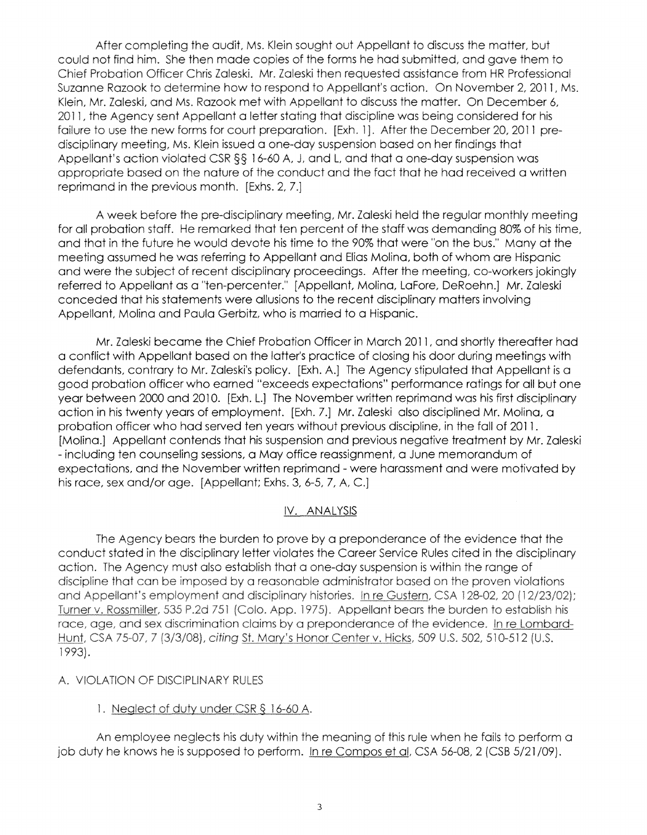After completing the audit, Ms. Klein sought out Appellant to discuss the matter, but could not find him. She then made copies of the forms he had submitted, and gave them to Chief Probation Officer Chris Zaleski. Mr. Zaleski then requested assistance from HR Professional Suzanne Razook to determine how to respond to Appellant's action. On November 2, 2011, Ms. Klein, Mr. Zaleski, and Ms. Razook met with Appellant to discuss the matter. On December 6, 2011, the Agency sent Appellant a letter stating that discipline was being considered for his **failure** to use **the** new forms for court preparation. [Exh. 1 ] . After **the** December 20, 2011 predisciplinary **meeting,** Ms. **Klein** issued a one-day suspension based on her findings that Appellant's action violated **CSR§§** 16-60 A, J, and L, and that a one-day suspension was appropriate based on the nature of the conduct and the fact that he had received a written reprimand **in** the previous month. [Exhs. 2, **7.]** 

A week before the pre-disciplinary meeting, Mr. Zaleski held the regular monthly meeting for all probation staff. He remarked that ten percent of the staff was demanding 80% of his time, and that in the future he would devote his time to the 90% that were "on the bus." Many at the meeting assumed he was referring to Appellant and Elias Molina, both of whom are Hispanic and were the subject of recent disciplinary proceedings. After the meeting, co-workers jokingly referred to Appellant as a "ten-percenter." [Appellant, Molina, LaFore, DeRoehn.] Mr. Zaleski conceded that his statements were allusions to the recent disciplinary matters involving Appellant, Molina and Paula Gerbitz, who is married to a Hispanic.

Mr. Zaleski became the Chief Probation Officer in March 2011, and shortly thereafter had a conflict with Appellant based on the latter's practice of closing his door during meetings with defendants, contrary to Mr. Zaleski's policy. [Exh. A.] The Agency stipulated that Appellant is a good probation officer who earned "exceeds expectations" performance ratings for all but one year between 2000 and 2010. [Exh. L.] The November written reprimand was his first disciplinary action in his twenty years of employment. [Exh. 7.] Mr. Zaleski also disciplined Mr. Molina, a probation officer who had served ten years without previous discipline, in the fall of 2011. [Molina.] Appellant contends that his suspension and previous negative treatment by Mr. Zaleski - including ten counseling sessions, a May office reassignment, a June memorandum of expectations, and the November written reprimand - were harassment and were motivated by his race, sex and/or age. [Appellant; Exhs. 3, 6-5, 7, A. C.]

### IV. ANALYSIS

The Agency bears the burden to prove by a preponderance of the evidence that the conduct stated in the disciplinary letter violates the Career Service Rules cited in the disciplinary action. The Agency must also establish that a one-day suspension is within the range of discipline that can be imposed by a reasonable administrator based on the proven violations and Appellant's employment and disciplinary histories. In re Gustern, CSA 128-02, 20 (12/23/02); Turner v. Rossmiller, 535 P.2d 751 (Colo. App. 1975). Appellant bears the burden to establish his race, age, and sex discrimination claims by a preponderance of the evidence. In re Lombard-Hunt, CSA 75-07, 7 (3/3/08), citing St. Mary's Honor Center v. Hicks, 509 U.S. 502, 510-512 (U.S. 1993).

### A. VIOLATION OF DISCIPLINARY RULES

# 1. Neglect of duty under CSR § 16-60 A.

An employee neglects his duty within the meaning of this rule when he fails to perform a job duty he knows he is supposed to perform. In re Compos et al, CSA 56-08, 2 (CSB 5/21/09).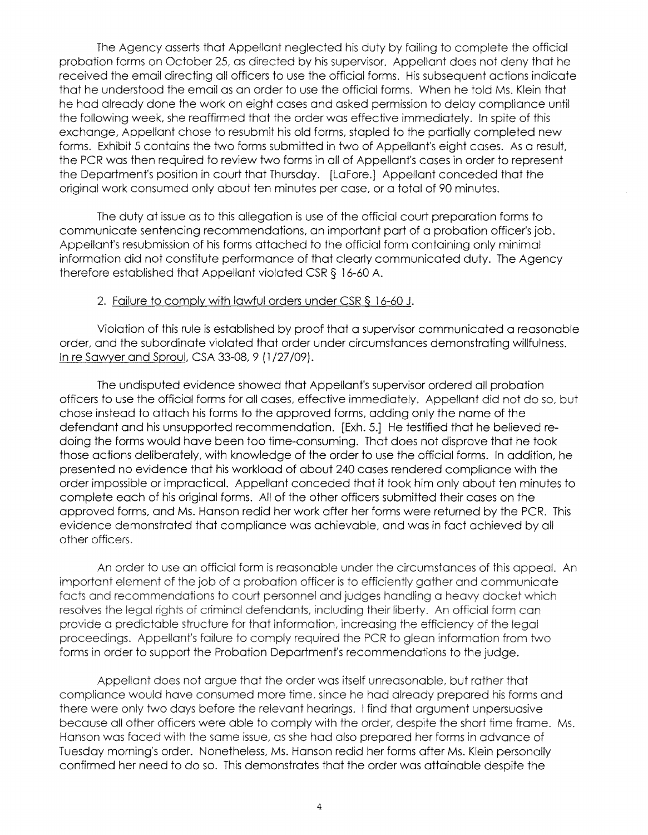**The Agency asserts** that Appellant **neglected** his duty **by failing** to complete **the** official probation **forms** on October **25,** as **directed** by his **supervisor. Appellant does not deny** that he **received the** email **directing all officers** to use **the official** forms. **His subsequent actions** indicate that **he** understood **the** email as an **order** to use the **official forms.** When he **told** Ms. **Klein that**  he had already done **the** work on **eight** cases and asked **permission** to **delay** compliance until the **following** week, she **reaffirmed** that the **order** was **effective immediately.** In **spite** of **this exchange,** Appellant **chose to** resubmit **his** old forms, stapled to the **partially** completed new forms. Exhibit 5 contains the two forms submitted in two of Appellant's eight cases. As a result, the PCR was then required to review two forms in all of Appellant's cases in order to represent the Department's position in court that Thursday. [LaFore.] Appellant conceded that the original work consumed only about ten minutes per case, or a total of 90 minutes.

The duty at issue as to this allegation is use of the official court preparation forms to communicate sentencing recommendations, an important part of a probation officer's job. Appellant's resubmission of his forms attached to the official form containing only minimal information did not constitute performance of that clearly communicated duty. The Agency therefore established that Appellant violated CSR § 16-60 A.

#### 2. Failure to comply with lawful orders under CSR§ 16-60 J.

Violation of this rule is established by proof that a supervisor communicated a reasonable order, and the subordinate violated that order under circumstances demonstrating willfulness. In re Sawyer and Sproul, CSA 33-08, 9 (1 /27 /09).

The undisputed evidence showed that Appellant's supervisor ordered all probation officers to use the official forms for all cases, effective immediately. Appellant did not do so, but chose instead to attach his forms to the approved forms, adding only the name of the defendant and his unsupported recommendation. [Exh. 5.] He testified that he believed redoing the forms would have been too time-consuming. That does not disprove that he took those actions deliberately, with knowledge of the order to use the official forms. In addition, he presented no evidence that his workload of about 240 cases rendered compliance with the order impossible or impractical. Appellant conceded that it took him only about ten minutes to complete each of his original forms. All of the other officers submitted their cases on the approved forms, and Ms. Hanson redid her work after her forms were returned by the PCR. This evidence demonstrated that compliance was achievable, and was in fact achieved by all other officers.

An order to use an official form is reasonable under the circumstances of this appeal. An important element of the job of a probation officer is to efficiently gather and communicate facts and recommendations to court personnel and judges handling a heavy docket which resolves the legal rights of criminal defendants, including their liberty. An official form can provide a predictable structure for that information, increasing the efficiency of the legal proceedings. Appellant's failure to comply required the PCR to glean information from two forms in order to support the Probation Department's recommendations to the judge.

Appellant does not argue that the order was itself unreasonable, but rather that compliance would have consumed more time, since he had already prepared his forms and there were only two days before the relevant hearings. I find that argument unpersuasive because all other officers were able to comply with the order, despite the short time frame. Ms. Hanson was faced with the same issue, as she had also prepared her forms in advance of Tuesday morning's order. Nonetheless, Ms. Hanson redid her forms after Ms. Klein personally confirmed her need to do so. This demonstrates that the order was attainable despite the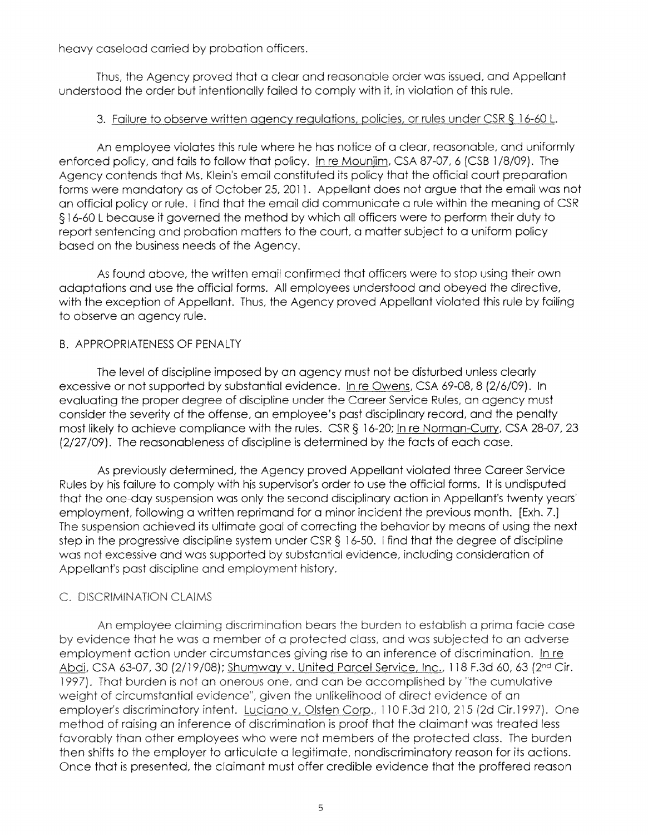heavy **caseload** carried by probation **officers.** 

**Thus, the Agency proved** that **a clear and reasonable** order was **issued,** and **Appellant**  understood **the order** but **intentionally failed to comply with** it, in violation of **this** rule.

# **3.** Failure to observe written agency regulations, policies, or rules under CSR § 16-60 L

An employee **violates this** rule where he has notice of a clear, reasonable, and uniformly **enforced** policy, and fails **to** follow that policy. In re Mounjim, CSA 87-07, 6 {CSB 1 /8/09}. **The**  Agency contends that Ms. Klein's email constituted its policy that the official court preparation forms were mandatory as of October 25, 2011. Appellant does not argue that the email was not an official policy or rule. I find that the email did communicate a rule within the meaning of CSR § 16-60 L because it governed the method by which all officers were to perform their duty to report sentencing and probation matters to the court, a matter subject to a uniform policy based on the business needs of the Agency.

As found above, the written email confirmed that officers were to stop using their own adaptations and use the official forms. All employees understood and obeyed the directive, with the exception of Appellant. Thus, the Agency proved Appellant violated this rule by failing to observe an agency rule.

# B. APPROPRIATENESS OF PENALTY

The level of discipline imposed by an agency must not be disturbed unless clearly excessive or not supported by substantial evidence. In re Owens, CSA 69-08, 8 (2/6/09). In evaluating the proper degree of discipline under the Career Service Rules, an agency must consider the severity of the offense, an employee's past disciplinary record, and the penalty most likely to achieve compliance with the rules. CSR § 16-20; In re Norman-Curry, CSA 28-07, 23 (2/27/09). The reasonableness of discipline is determined by the facts of each case.

As previously determined, the Agency proved Appellant violated three Career Service Rules by his failure to comply with his supervisor's order to use the official forms. It is undisputed that the one-day suspension was only the second disciplinary action in Appellant's twenty years' employment, following a written reprimand for a minor incident the previous month. [Exh. 7.] The suspension achieved its ultimate goal of correcting the behavior by means of using the next step in the progressive discipline system under CSR § 16-50. I find that the degree of discipline was not excessive and was supported by substantial evidence, including consideration of Appellant's past discipline and employment history.

# C. DISCRIMINATION CLAIMS

An employee claiming discrimination bears the burden to establish a prima facie case by evidence that he was a member of a protected class, and was subjected to an adverse employment action under circumstances giving rise to an inference of discrimination. In re **Abdi,** CSA 63-07, 30 (2/19/08); Shumway v. United Parcel Service, Inc., 118 F.3d 60, 63 {2nd Cir. 1997). That burden is not an onerous one, and can be accomplished by "the cumulative weight of circumstantial evidence", given the unlikelihood of direct evidence of an employer's discriminatory intent. Luciano v. Olsten Corp., 110 F.3d 210, 215 (2d Cir.1997). One method of raising an inference of discrimination is proof that the claimant was treated less favorably than other employees who were not members of the protected class. The burden then shifts to the employer to articulate a legitimate, nondiscriminatory reason for its actions. Once that is presented, the claimant must offer credible evidence that the proffered reason